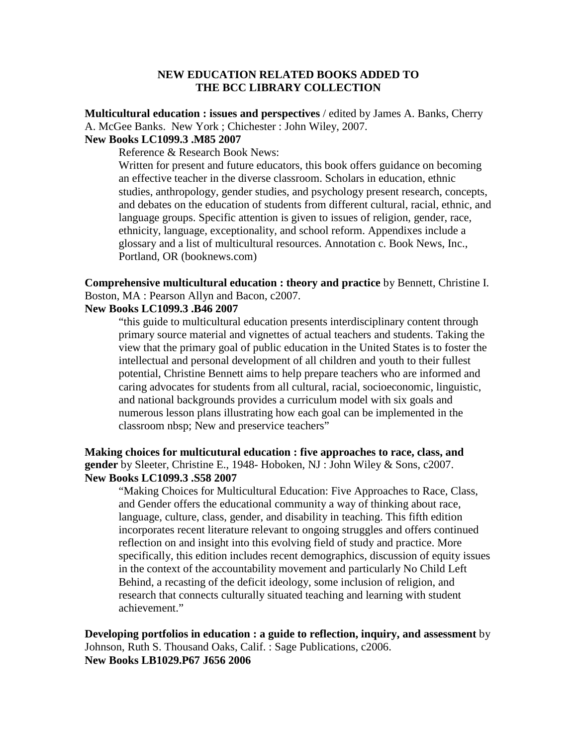## **NEW EDUCATION RELATED BOOKS ADDED TO THE BCC LIBRARY COLLECTION**

**Multicultural education : issues and perspectives** / edited by James A. Banks, Cherry A. McGee Banks. New York ; Chichester : John Wiley, 2007.

## **New Books LC1099.3 .M85 2007**

Reference & Research Book News:

Written for present and future educators, this book offers guidance on becoming an effective teacher in the diverse classroom. Scholars in education, ethnic studies, anthropology, gender studies, and psychology present research, concepts, and debates on the education of students from different cultural, racial, ethnic, and language groups. Specific attention is given to issues of religion, gender, race, ethnicity, language, exceptionality, and school reform. Appendixes include a glossary and a list of multicultural resources. Annotation c. Book News, Inc., Portland, OR (booknews.com)

**Comprehensive multicultural education : theory and practice** by Bennett, Christine I. Boston, MA : Pearson Allyn and Bacon, c2007.

# **New Books LC1099.3 .B46 2007**

"this guide to multicultural education presents interdisciplinary content through primary source material and vignettes of actual teachers and students. Taking the view that the primary goal of public education in the United States is to foster the intellectual and personal development of all children and youth to their fullest potential, Christine Bennett aims to help prepare teachers who are informed and caring advocates for students from all cultural, racial, socioeconomic, linguistic, and national backgrounds provides a curriculum model with six goals and numerous lesson plans illustrating how each goal can be implemented in the classroom nbsp; New and preservice teachers"

# **Making choices for multicutural education : five approaches to race, class, and gender** by Sleeter, Christine E., 1948- Hoboken, NJ : John Wiley & Sons, c2007. **New Books LC1099.3 .S58 2007**

"Making Choices for Multicultural Education: Five Approaches to Race, Class, and Gender offers the educational community a way of thinking about race, language, culture, class, gender, and disability in teaching. This fifth edition incorporates recent literature relevant to ongoing struggles and offers continued reflection on and insight into this evolving field of study and practice. More specifically, this edition includes recent demographics, discussion of equity issues in the context of the accountability movement and particularly No Child Left Behind, a recasting of the deficit ideology, some inclusion of religion, and research that connects culturally situated teaching and learning with student achievement."

**Developing portfolios in education : a guide to reflection, inquiry, and assessment** by Johnson, Ruth S. Thousand Oaks, Calif. : Sage Publications, c2006. **New Books LB1029.P67 J656 2006**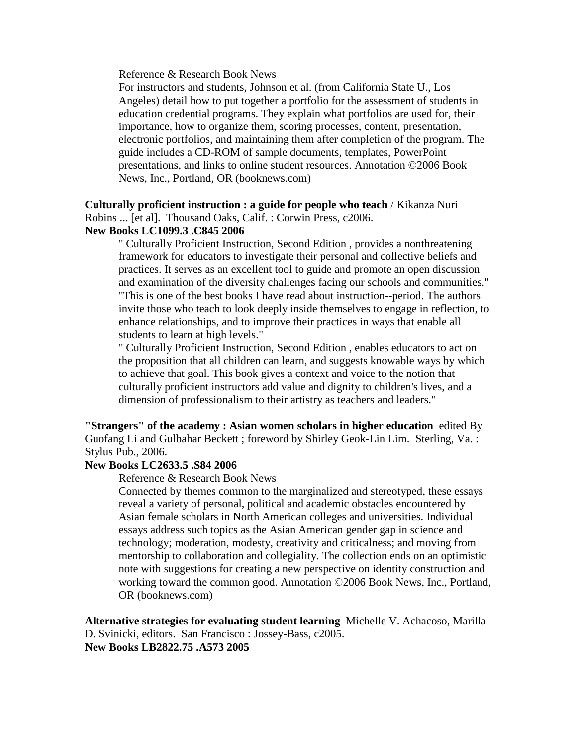Reference & Research Book News

For instructors and students, Johnson et al. (from California State U., Los Angeles) detail how to put together a portfolio for the assessment of students in education credential programs. They explain what portfolios are used for, their importance, how to organize them, scoring processes, content, presentation, electronic portfolios, and maintaining them after completion of the program. The guide includes a CD-ROM of sample documents, templates, PowerPoint presentations, and links to online student resources. Annotation ©2006 Book News, Inc., Portland, OR (booknews.com)

**Culturally proficient instruction : a guide for people who teach** / Kikanza Nuri Robins ... [et al]. Thousand Oaks, Calif. : Corwin Press, c2006.

### **New Books LC1099.3 .C845 2006**

" Culturally Proficient Instruction, Second Edition , provides a nonthreatening framework for educators to investigate their personal and collective beliefs and practices. It serves as an excellent tool to guide and promote an open discussion and examination of the diversity challenges facing our schools and communities." "This is one of the best books I have read about instruction--period. The authors invite those who teach to look deeply inside themselves to engage in reflection, to enhance relationships, and to improve their practices in ways that enable all students to learn at high levels."

" Culturally Proficient Instruction, Second Edition , enables educators to act on the proposition that all children can learn, and suggests knowable ways by which to achieve that goal. This book gives a context and voice to the notion that culturally proficient instructors add value and dignity to children's lives, and a dimension of professionalism to their artistry as teachers and leaders."

**"Strangers" of the academy : Asian women scholars in higher education** edited By Guofang Li and Gulbahar Beckett ; foreword by Shirley Geok-Lin Lim. Sterling, Va. : Stylus Pub., 2006.

#### **New Books LC2633.5 .S84 2006**

Reference & Research Book News

Connected by themes common to the marginalized and stereotyped, these essays reveal a variety of personal, political and academic obstacles encountered by Asian female scholars in North American colleges and universities. Individual essays address such topics as the Asian American gender gap in science and technology; moderation, modesty, creativity and criticalness; and moving from mentorship to collaboration and collegiality. The collection ends on an optimistic note with suggestions for creating a new perspective on identity construction and working toward the common good. Annotation ©2006 Book News, Inc., Portland, OR (booknews.com)

**Alternative strategies for evaluating student learning** Michelle V. Achacoso, Marilla D. Svinicki, editors. San Francisco : Jossey-Bass, c2005. **New Books LB2822.75 .A573 2005**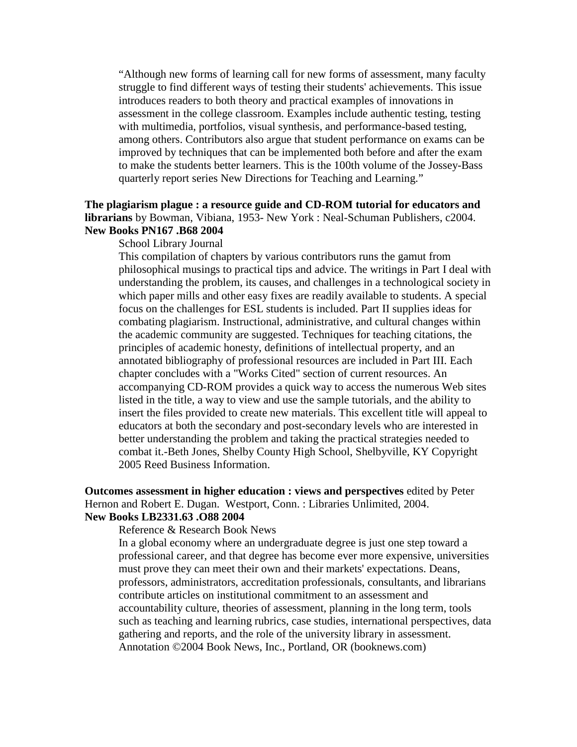"Although new forms of learning call for new forms of assessment, many faculty struggle to find different ways of testing their students' achievements. This issue introduces readers to both theory and practical examples of innovations in assessment in the college classroom. Examples include authentic testing, testing with multimedia, portfolios, visual synthesis, and performance-based testing, among others. Contributors also argue that student performance on exams can be improved by techniques that can be implemented both before and after the exam to make the students better learners. This is the 100th volume of the Jossey-Bass quarterly report series New Directions for Teaching and Learning."

### **The plagiarism plague : a resource guide and CD-ROM tutorial for educators and librarians** by Bowman, Vibiana, 1953- New York : Neal-Schuman Publishers, c2004. **New Books PN167 .B68 2004**

#### School Library Journal

This compilation of chapters by various contributors runs the gamut from philosophical musings to practical tips and advice. The writings in Part I deal with understanding the problem, its causes, and challenges in a technological society in which paper mills and other easy fixes are readily available to students. A special focus on the challenges for ESL students is included. Part II supplies ideas for combating plagiarism. Instructional, administrative, and cultural changes within the academic community are suggested. Techniques for teaching citations, the principles of academic honesty, definitions of intellectual property, and an annotated bibliography of professional resources are included in Part III. Each chapter concludes with a "Works Cited" section of current resources. An accompanying CD-ROM provides a quick way to access the numerous Web sites listed in the title, a way to view and use the sample tutorials, and the ability to insert the files provided to create new materials. This excellent title will appeal to educators at both the secondary and post-secondary levels who are interested in better understanding the problem and taking the practical strategies needed to combat it.-Beth Jones, Shelby County High School, Shelbyville, KY Copyright 2005 Reed Business Information.

# **Outcomes assessment in higher education : views and perspectives** edited by Peter Hernon and Robert E. Dugan. Westport, Conn. : Libraries Unlimited, 2004. **New Books LB2331.63 .O88 2004**

Reference & Research Book News

In a global economy where an undergraduate degree is just one step toward a professional career, and that degree has become ever more expensive, universities must prove they can meet their own and their markets' expectations. Deans, professors, administrators, accreditation professionals, consultants, and librarians contribute articles on institutional commitment to an assessment and accountability culture, theories of assessment, planning in the long term, tools such as teaching and learning rubrics, case studies, international perspectives, data gathering and reports, and the role of the university library in assessment. Annotation ©2004 Book News, Inc., Portland, OR (booknews.com)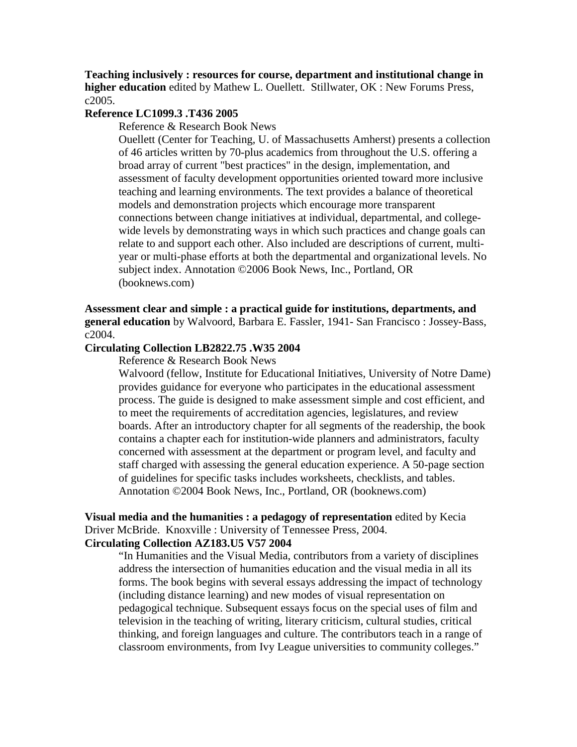**Teaching inclusively : resources for course, department and institutional change in higher education** edited by Mathew L. Ouellett. Stillwater, OK : New Forums Press, c2005.

# **Reference LC1099.3 .T436 2005**

Reference & Research Book News

Ouellett (Center for Teaching, U. of Massachusetts Amherst) presents a collection of 46 articles written by 70-plus academics from throughout the U.S. offering a broad array of current "best practices" in the design, implementation, and assessment of faculty development opportunities oriented toward more inclusive teaching and learning environments. The text provides a balance of theoretical models and demonstration projects which encourage more transparent connections between change initiatives at individual, departmental, and collegewide levels by demonstrating ways in which such practices and change goals can relate to and support each other. Also included are descriptions of current, multiyear or multi-phase efforts at both the departmental and organizational levels. No subject index. Annotation ©2006 Book News, Inc., Portland, OR (booknews.com)

**Assessment clear and simple : a practical guide for institutions, departments, and general education** by Walvoord, Barbara E. Fassler, 1941- San Francisco : Jossey-Bass, c2004.

### **Circulating Collection LB2822.75 .W35 2004**

Reference & Research Book News

Walvoord (fellow, Institute for Educational Initiatives, University of Notre Dame) provides guidance for everyone who participates in the educational assessment process. The guide is designed to make assessment simple and cost efficient, and to meet the requirements of accreditation agencies, legislatures, and review boards. After an introductory chapter for all segments of the readership, the book contains a chapter each for institution-wide planners and administrators, faculty concerned with assessment at the department or program level, and faculty and staff charged with assessing the general education experience. A 50-page section of guidelines for specific tasks includes worksheets, checklists, and tables. Annotation ©2004 Book News, Inc., Portland, OR (booknews.com)

**Visual media and the humanities : a pedagogy of representation** edited by Kecia Driver McBride. Knoxville : University of Tennessee Press, 2004.

# **Circulating Collection AZ183.U5 V57 2004**

"In Humanities and the Visual Media, contributors from a variety of disciplines address the intersection of humanities education and the visual media in all its forms. The book begins with several essays addressing the impact of technology (including distance learning) and new modes of visual representation on pedagogical technique. Subsequent essays focus on the special uses of film and television in the teaching of writing, literary criticism, cultural studies, critical thinking, and foreign languages and culture. The contributors teach in a range of classroom environments, from Ivy League universities to community colleges."